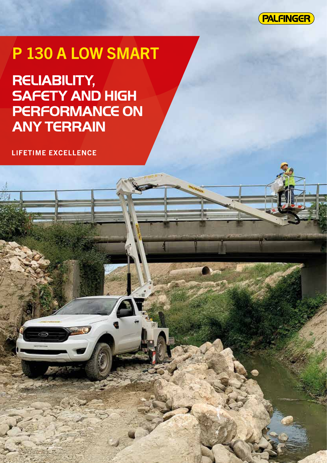

# P 130 A LOW SMART

**RELIABILITY, SAFETY AND HIGH PERFORMANCE ON ANY TERRAIN**

**LIFETIME EXCELLENCE**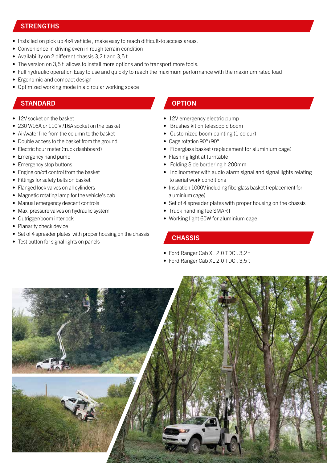### **STRENGTHS**

- Installed on pick up 4x4 vehicle , make easy to reach difficult-to access areas.
- Convenience in driving even in rough terrain condition
- Availability on 2 different chassis 3,2 t and 3,5 t
- The version on 3.5 t allows to install more options and to transport more tools.
- Full hydraulic operation Easy to use and quickly to reach the maximum performance with the maximum rated load
- Ergonomic and compact design
- Optimized working mode in a circular working space

#### STANDARD **OPTION**

- 12V socket on the basket
- 230 V/16A or 110 V /16A socket on the basket
- Air/water line from the column to the basket
- Double access to the basket from the ground
- Electric hour meter (truck dashboard)
- Emergency hand pump
- Emergency stop buttons
- Engine on/off control from the basket
- Fittings for safety belts on basket
- Flanged lock valves on all cylinders
- Magnetic rotating lamp for the vehicle's cab
- Manual emergency descent controls
- Max. pressure valves on hydraulic system
- Outrigger/boom interlock
- Planarity check device
- Set of 4 spreader plates with proper housing on the chassis
- Test button for signal lights on panels

- 12V emergency electric pump
- Brushes kit on telescopic boom
- Customized boom painting (1 colour)
- Cage rotation 90°+90°
- Fiberglass basket (replacement tor aluminium cage)
- Flashing light at turntable
- Folding Side bordering h 200mm
- Inclinometer with audio alarm signal and signal lights relating to aerial work conditions
- Insulation 1000V including fiberglass basket (replacement for aluminium cage)
- Set of 4 spreader plates with proper housing on the chassis
- Truck handling fee SMART
- Working light 60W for aluminium cage

#### **CHASSIS**

- Ford Ranger Cab XL 2.0 TDCi, 3,2 t
- Ford Ranger Cab XL 2.0 TDCi, 3,5 t

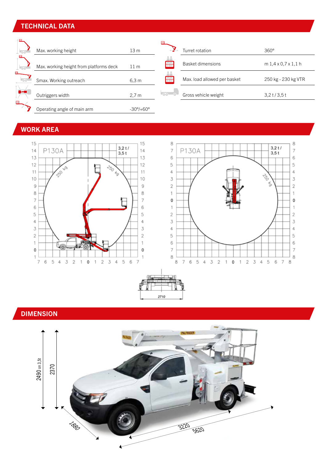# TECHNICAL DATA

| $\pm 00$             | Max. working height                     | 13 <sub>m</sub>           |                                                                                                                                                                                                                                      | Turret rotation              | $360^\circ$                       |
|----------------------|-----------------------------------------|---------------------------|--------------------------------------------------------------------------------------------------------------------------------------------------------------------------------------------------------------------------------------|------------------------------|-----------------------------------|
| $\pm 00$             | Max. working height from platforms deck | 11 <sub>m</sub>           | Αå<br>$\overline{\boxplus}$                                                                                                                                                                                                          | <b>Basket dimensions</b>     | $m1, 4 \times 0, 7 \times 1, 1 h$ |
| ╒<br>$\overline{00}$ | Smax. Working outreach                  | 6,3 m                     | $\Box$                                                                                                                                                                                                                               | Max. load allowed per basket | 250 kg - 230 kg VTR               |
|                      | Outriggers width                        | 2.7 <sub>m</sub>          | <u> - 100 - 100 - 100 - 100 - 100 - 100 - 100 - 100 - 100 - 100 - 100 - 100 - 100 - 100 - 100 - 100 - 100 - 100 - 100 - 100 - 100 - 100 - 100 - 100 - 100 - 100 - 100 - 100 - 100 - 100 - 100 - 100 - 100 - 100 - 100 - 100 - 10</u> | Gross vehicle weight         | $3,2$ t/3,5 t                     |
| 冃                    | Operating angle of main arm             | $-30^{\circ}/+60^{\circ}$ |                                                                                                                                                                                                                                      |                              |                                   |

# WORK AREA







# DIMENSION